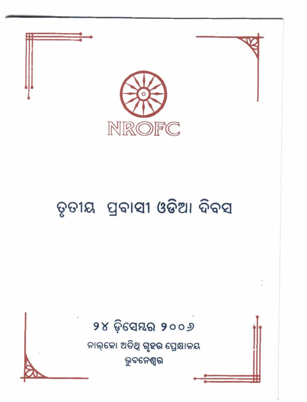